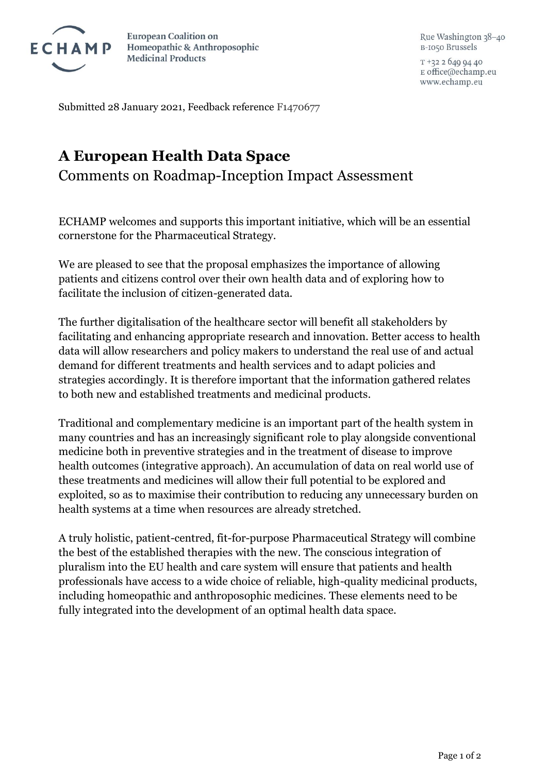

**European Coalition on** Homeopathic & Anthroposophic **Medicinal Products** 

 $T + 3226499440$ E office@echamp.eu www.echamp.eu

Submitted 28 January 2021, Feedback reference F1470677

## **A European Health Data Space**

Comments on Roadmap-Inception Impact Assessment

ECHAMP welcomes and supports this important initiative, which will be an essential cornerstone for the Pharmaceutical Strategy.

We are pleased to see that the proposal emphasizes the importance of allowing patients and citizens control over their own health data and of exploring how to facilitate the inclusion of citizen-generated data.

The further digitalisation of the healthcare sector will benefit all stakeholders by facilitating and enhancing appropriate research and innovation. Better access to health data will allow researchers and policy makers to understand the real use of and actual demand for different treatments and health services and to adapt policies and strategies accordingly. It is therefore important that the information gathered relates to both new and established treatments and medicinal products.

Traditional and complementary medicine is an important part of the health system in many countries and has an increasingly significant role to play alongside conventional medicine both in preventive strategies and in the treatment of disease to improve health outcomes (integrative approach). An accumulation of data on real world use of these treatments and medicines will allow their full potential to be explored and exploited, so as to maximise their contribution to reducing any unnecessary burden on health systems at a time when resources are already stretched.

A truly holistic, patient-centred, fit-for-purpose Pharmaceutical Strategy will combine the best of the established therapies with the new. The conscious integration of pluralism into the EU health and care system will ensure that patients and health professionals have access to a wide choice of reliable, high-quality medicinal products, including homeopathic and anthroposophic medicines. These elements need to be fully integrated into the development of an optimal health data space.